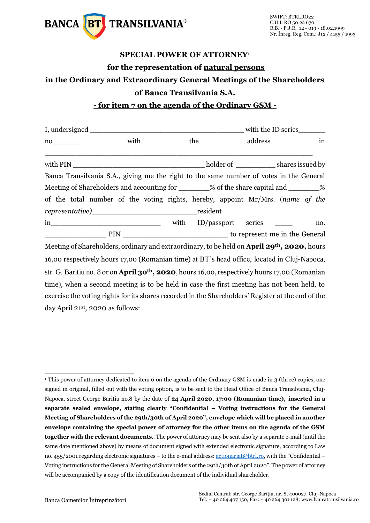

## **SPECIAL POWER OF ATTORNEY<sup>1</sup> for the representation of natural persons in the Ordinary and Extraordinary General Meetings of the Shareholders of Banca Transilvania S.A.**

**- for item 7 on the agenda of the Ordinary GSM -**

|                                                                                                            |      |      |          | with the ID series |         |  |     |  |
|------------------------------------------------------------------------------------------------------------|------|------|----------|--------------------|---------|--|-----|--|
| $no$ <sub>__________</sub>                                                                                 | with |      | the      |                    | address |  | in  |  |
|                                                                                                            |      |      |          |                    |         |  |     |  |
| Banca Transilvania S.A., giving me the right to the same number of votes in the General                    |      |      |          |                    |         |  |     |  |
| Meeting of Shareholders and accounting for _______% of the share capital and _______%                      |      |      |          |                    |         |  |     |  |
| of the total number of the voting rights, hereby, appoint Mr/Mrs. (name of the                             |      |      |          |                    |         |  |     |  |
|                                                                                                            |      |      | resident |                    |         |  |     |  |
| $\overline{\text{in}}$                                                                                     |      | with |          | ID/passport series |         |  | no. |  |
|                                                                                                            |      |      |          |                    |         |  |     |  |
| Meeting of Shareholders, ordinary and extraordinary, to be held on April 29 <sup>th</sup> , 2020, hours    |      |      |          |                    |         |  |     |  |
| 16,00 respectively hours 17,00 (Romanian time) at BT's head office, located in Cluj-Napoca,                |      |      |          |                    |         |  |     |  |
| str. G. Baritiu no. 8 or on April 30 <sup>th</sup> , 2020, hours 16,00, respectively hours 17,00 (Romanian |      |      |          |                    |         |  |     |  |
| time), when a second meeting is to be held in case the first meeting has not been held, to                 |      |      |          |                    |         |  |     |  |
| exercise the voting rights for its shares recorded in the Shareholders' Register at the end of the         |      |      |          |                    |         |  |     |  |

day April 21st, 2020 as follows:

<sup>-</sup><sup>1</sup> This power of attorney dedicated to item 6 on the agenda of the Ordinary GSM is made in 3 (three) copies, one signed in original, filled out with the voting option, is to be sent to the Head Office of Banca Transilvania, Cluj-Napoca, street George Baritiu no.8 by the date of **24 April 2020, 17:00 (Romanian time)**, **inserted in a separate sealed envelope, stating clearly "Confidential – Voting instructions for the General Meeting of Shareholders of the 29th/30th of April 2020", envelope which will be placed in another envelope containing the special power of attorney for the other items on the agenda of the GSM together with the relevant documents**.. The power of attorney may be sent also by a separate e-mail (until the same date mentioned above) by means of document signed with extended electronic signature, according to Law no. 455/2001 regarding electronic signatures – to the e-mail address[: actionariat@btrl.ro,](mailto:actionariat@btrl.ro) with the "Confidential – Voting instructions for the General Meeting of Shareholders of the 29th/30th of April 2020". The power of attorney will be accompanied by a copy of the identification document of the individual shareholder.